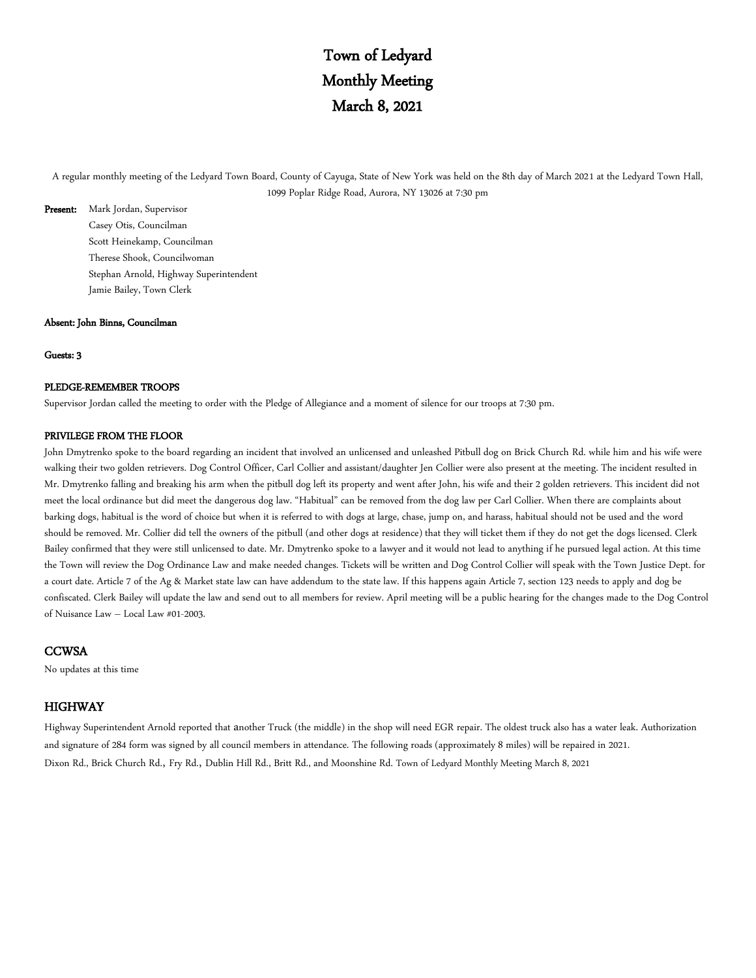## Town of Ledyard Monthly Meeting March 8, 2021

A regular monthly meeting of the Ledyard Town Board, County of Cayuga, State of New York was held on the 8th day of March 2021 at the Ledyard Town Hall, 1099 Poplar Ridge Road, Aurora, NY 13026 at 7:30 pm

Present: Mark Jordan, Supervisor Casey Otis, Councilman Scott Heinekamp, Councilman Therese Shook, Councilwoman Stephan Arnold, Highway Superintendent Jamie Bailey, Town Clerk

#### Absent: John Binns, Councilman

Guests: 3

### PLEDGE-REMEMBER TROOPS

Supervisor Jordan called the meeting to order with the Pledge of Allegiance and a moment of silence for our troops at 7:30 pm.

### PRIVILEGE FROM THE FLOOR

John Dmytrenko spoke to the board regarding an incident that involved an unlicensed and unleashed Pitbull dog on Brick Church Rd. while him and his wife were walking their two golden retrievers. Dog Control Officer, Carl Collier and assistant/daughter Jen Collier were also present at the meeting. The incident resulted in Mr. Dmytrenko falling and breaking his arm when the pitbull dog left its property and went after John, his wife and their 2 golden retrievers. This incident did not meet the local ordinance but did meet the dangerous dog law. "Habitual" can be removed from the dog law per Carl Collier. When there are complaints about barking dogs, habitual is the word of choice but when it is referred to with dogs at large, chase, jump on, and harass, habitual should not be used and the word should be removed. Mr. Collier did tell the owners of the pitbull (and other dogs at residence) that they will ticket them if they do not get the dogs licensed. Clerk Bailey confirmed that they were still unlicensed to date. Mr. Dmytrenko spoke to a lawyer and it would not lead to anything if he pursued legal action. At this time the Town will review the Dog Ordinance Law and make needed changes. Tickets will be written and Dog Control Collier will speak with the Town Justice Dept. for a court date. Article 7 of the Ag & Market state law can have addendum to the state law. If this happens again Article 7, section 123 needs to apply and dog be confiscated. Clerk Bailey will update the law and send out to all members for review. April meeting will be a public hearing for the changes made to the Dog Control of Nuisance Law – Local Law #01-2003.

### **CCWSA**

No updates at this time

### HIGHWAY

Highway Superintendent Arnold reported that another Truck (the middle) in the shop will need EGR repair. The oldest truck also has a water leak. Authorization and signature of 284 form was signed by all council members in attendance. The following roads (approximately 8 miles) will be repaired in 2021. Dixon Rd., Brick Church Rd., Fry Rd., Dublin Hill Rd., Britt Rd., and Moonshine Rd. Town of Ledyard Monthly Meeting March 8, 2021